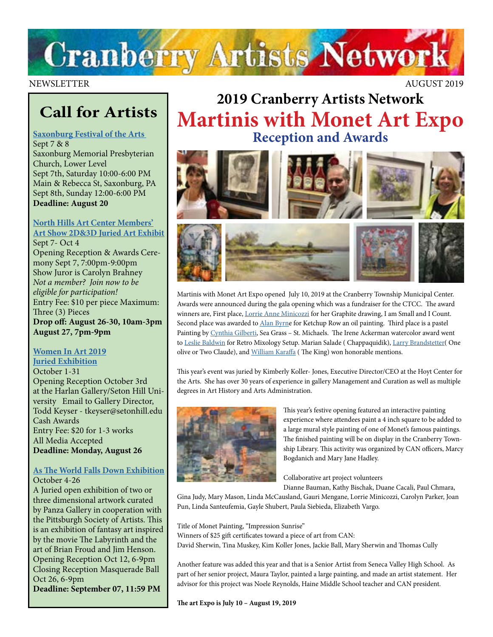

NEWSLETTER AUGUST 2019

## **Call for Artists**

#### **[Saxonburg Festival of the Arts](https://www.saxonburgfineart.com/2019%20SFA%20RULES%20&%20Applicationpg1-2.pdf)**  Sept 7 & 8

Saxonburg Memorial Presbyterian Church, Lower Level Sept 7th, Saturday 10:00-6:00 PM Main & Rebecca St, Saxonburg, PA Sept 8th, Sunday 12:00-6:00 PM **Deadline: August 20**

#### **[North Hills Art Center Members'](https://www.northhillsartcenter.org/resources/Documents/Shows/MembersShowCall%202019.pdf) [Art Show 2D&3D Juried Art Exhibit](https://www.northhillsartcenter.org/resources/Documents/Shows/MembersShowCall%202019.pdf)**

Sept 7- Oct 4 Opening Reception & Awards Ceremony Sept 7, 7:00pm-9:00pm Show Juror is Carolyn Brahney *Not a member? Join now to be eligible for participation!* Entry Fee: \$10 per piece Maximum: Three (3) Pieces **Drop off: August 26-30, 10am-3pm August 27, 7pm-9pm**

#### **[Women In Art 2019](https://www.aapgh.org/artist-opportunities/2019/6/17/call-for-entries-juried-exhibition-women-in-art-2019-due-aug-26) [Juried Exhibition](https://www.aapgh.org/artist-opportunities/2019/6/17/call-for-entries-juried-exhibition-women-in-art-2019-due-aug-26)** October 1-31

Opening Reception October 3rd at the Harlan Gallery/Seton Hill University Email to Gallery Director, Todd Keyser - tkeyser@setonhill.edu Cash Awards Entry Fee: \$20 for 1-3 works All Media Accepted **Deadline: Monday, August 26**

#### **[As The World Falls Down Exhibition](https://www.pittsburghsocietyofartists.org/event-3471124)** October 4-26

A Juried open exhibition of two or three dimensional artwork curated by Panza Gallery in cooperation with the Pittsburgh Society of Artists. This is an exhibition of fantasy art inspired by the movie The Labyrinth and the art of Brian Froud and Jim Henson. Opening Reception Oct 12, 6-9pm Closing Reception Masquerade Ball Oct 26, 6-9pm **Deadline: September 07, 11:59 PM**

## **2019 Cranberry Artists Network Martinis with Monet Art Expo Reception and Awards**





Martinis with Monet Art Expo opened July 10, 2019 at the Cranberry Township Municipal Center. Awards were announced during the gala opening which was a fundraiser for the CTCC. The award winners are, First place, [Lorrie Anne Minicozzi](https://www.climbingthewalls.net/) for her Graphite drawing, I am Small and I Count. Second place was awarded to *[Alan Byrne](http://www.alanbyrneart.com/index.html)* for Ketchup Row an oil painting. Third place is a pastel Painting by [Cynthia Gilberti,](http://gilbertifineart.com/) Sea Grass – St. Michaels. The Irene Ackerman watercolor award went to [Leslie Baldwin](http://www.southartspittsburgh.org/members-gallery/leslie-baldwin/) for Retro Mixology Setup. Marian Salade ( Chappaquidik), [Larry Brandstetter](https://www.facebook.com/Larry-Brandstetter-Doodler-379832832491777/)( One olive or Two Claude), and [William Karaffa](https://www.facebook.com/people/Bill-Karaffa/100011382820903) (The King) won honorable mentions.

This year's event was juried by Kimberly Koller- Jones, Executive Director/CEO at the Hoyt Center for the Arts. She has over 30 years of experience in gallery Management and Curation as well as multiple degrees in Art History and Arts Administration.



This year's festive opening featured an interactive painting experience where attendees paint a 4 inch square to be added to a large mural style painting of one of Monet's famous paintings. The finished painting will be on display in the Cranberry Township Library. This activity was organized by CAN officers, Marcy Bogdanich and Mary Jane Hadley.

Collaborative art project volunteers

Dianne Bauman, Kathy Bischak, Duane Cacali, Paul Chmara,

Gina Judy, Mary Mason, Linda McCausland, Gauri Mengane, Lorrie Minicozzi, Carolyn Parker, Joan Pun, Linda Santeufemia, Gayle Shubert, Paula Siebieda, Elizabeth Vargo.

Title of Monet Painting, "Impression Sunrise" Winners of \$25 gift certificates toward a piece of art from CAN: David Sherwin, Tina Muskey, Kim Koller Jones, Jackie Ball, Mary Sherwin and Thomas Cully

Another feature was added this year and that is a Senior Artist from Seneca Valley High School. As part of her senior project, Maura Taylor, painted a large painting, and made an artist statement. Her advisor for this project was Noele Reynolds, Haine Middle School teacher and CAN president.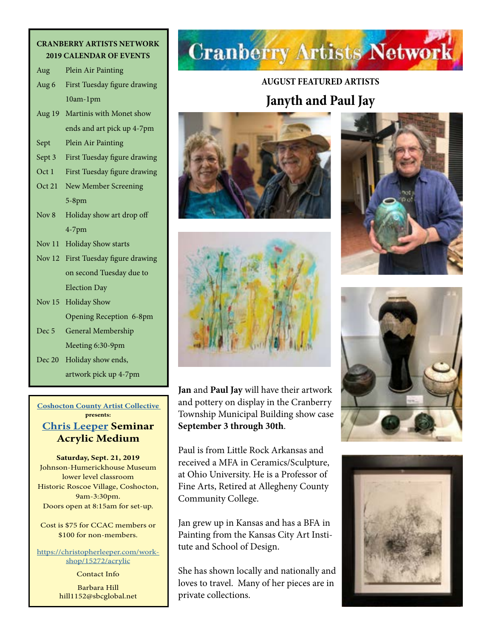#### **CRANBERRY ARTISTS NETWORK 2019 CALENDAR OF EVENTS**

| Aug              | Plein Air Painting           |
|------------------|------------------------------|
| Aug 6            | First Tuesday figure drawing |
|                  | 10am-1pm                     |
| Aug 19           | Martinis with Monet show     |
|                  | ends and art pick up 4-7pm   |
| Sept             | Plein Air Painting           |
| Sept 3           | First Tuesday figure drawing |
| Oct 1            | First Tuesday figure drawing |
| Oct 21           | New Member Screening         |
|                  | $5-8$ pm                     |
| Nov <sub>8</sub> | Holiday show art drop off    |
|                  | $4-7$ pm                     |
| Nov $11$         | <b>Holiday Show starts</b>   |
| Nov $12$         | First Tuesday figure drawing |
|                  | on second Tuesday due to     |
|                  | <b>Election Day</b>          |
| Nov 15           | <b>Holiday Show</b>          |
|                  | Opening Reception 6-8pm      |
| Dec <sub>5</sub> | General Membership           |
|                  | Meeting 6:30-9pm             |
| Dec 20           | Holiday show ends,           |
|                  |                              |

#### **[Coshocton County Artist Collective](http://www.ccacart.org/) presents:**

artwork pick up 4-7pm

#### **[Chris Leeper](https://christopherleeper.com) Seminar Acrylic Medium**

**Saturday, Sept. 21, 2019** Johnson-Humerickhouse Museum lower level classroom Historic Roscoe Village, Coshocton, 9am-3:30pm. Doors open at 8:15am for set-up.

Cost is \$75 for CCAC members or \$100 for non-members.

[https://christopherleeper.com/work](https://christopherleeper.com/workshop/15272/acrylic)[shop/15272/acrylic](https://christopherleeper.com/workshop/15272/acrylic)

> Contact Info Barbara Hill hill1152@sbcglobal.net

# **Cranberry Artists Network**

## **AUGUST FEATURED ARTISTS**

### **Janyth and Paul Jay**





**Jan** and **Paul Jay** will have their artwork and pottery on display in the Cranberry Township Municipal Building show case **September 3 through 30th**.

Paul is from Little Rock Arkansas and received a MFA in Ceramics/Sculpture, at Ohio University. He is a Professor of Fine Arts, Retired at Allegheny County Community College.

Jan grew up in Kansas and has a BFA in Painting from the Kansas City Art Institute and School of Design.

She has shown locally and nationally and loves to travel. Many of her pieces are in private collections.





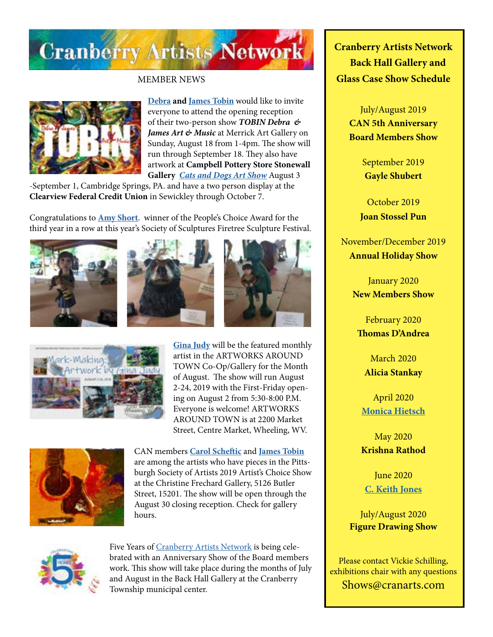

MEMBER NEWS



**[Debra](http://www.debratobinart.com/) and [James Tobin](https://jamestobinart.com/)** would like to invite everyone to attend the opening reception of their two-person show *TOBIN Debra & James Art & Music* at Merrick Art Gallery on Sunday, August 18 from 1-4pm. The show will run through September 18. They also have artwork at **Campbell Pottery Store Stonewall Gallery** *[Cats and Dogs Art Show](http://www.campbellpotterystore.com/events/event?date_time_id=1066)* August 3

-September 1, Cambridge Springs, PA. and have a two person display at the **Clearview Federal Credit Union** in Sewickley through October 7.

Congratulations to **[Amy Short](http://www.amyshortart.com/)**. winner of the People's Choice Award for the third year in a row at this year's Society of Sculptures Firetree Sculpture Festival.









**[Gina Judy](https://www.facebook.com/gina.judy.31)** will be the featured monthly artist in the ARTWORKS AROUND TOWN Co-Op/Gallery for the Month of August. The show will run August 2-24, 2019 with the First-Friday opening on August 2 from 5:30-8:00 P.M. Everyone is welcome! ARTWORKS AROUND TOWN is at 2200 Market Street, Centre Market, Wheeling, WV.



CAN members **[Carol Scheftic](http://convergentseries.com/)** and **[James Tobin](https://jamestobinart.com/)** are among the artists who have pieces in the Pittsburgh Society of Artists 2019 Artist's Choice Show at the Christine Frechard Gallery, 5126 Butler Street, 15201. The show will be open through the August 30 closing reception. Check for gallery hours.



Five Years of [Cranberry Artists Network](https://www.cranberryartistsnetwork.com/) is being celebrated with an Anniversary Show of the Board members work. This show will take place during the months of July and August in the Back Hall Gallery at the Cranberry Township municipal center.

**Cranberry Artists Network Back Hall Gallery and Glass Case Show Schedule** 

> July/August 2019 **CAN 5th Anniversary Board Members Show**

> > September 2019 **Gayle Shubert**

October 2019 **Joan Stossel Pun**

November/December 2019 **Annual Holiday Show**

> January 2020 **New Members Show**

February 2020 **Thomas D'Andrea**

March 2020 **Alicia Stankay**

April 2020 **[Monica Hietsch](https://www.monicahietsch.com/)**

May 2020 **Krishna Rathod**

**June 2020 [C. Keith Jones](http://ckeithjonesartist.com/)**

July/August 2020 **Figure Drawing Show**

Please contact Vickie Schilling, exhibitions chair with any questions Shows@cranarts.com